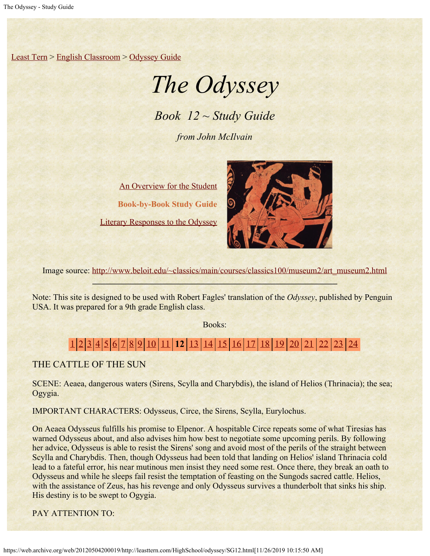[Least Tern](https://web.archive.org/web/20120504200019/http://leasttern.com/index.html) > [English Classroom](https://web.archive.org/web/20120504200019/http://leasttern.com/Engclass.html) > [Odyssey Guide](https://web.archive.org/web/20120504200019/http://leasttern.com/HighSchool/odyssey/Odyssey.html)

## *The Odyssey*

*Book 12 ~ Study Guide*

*from John McIlvain*

[An Overview for the Student](https://web.archive.org/web/20120504200019/http://leasttern.com/HighSchool/odyssey/Odyssey1.html) **Book-by-Book Study Guide** [Literary Responses to the Odyssey](https://web.archive.org/web/20120504200019/http://leasttern.com/HighSchool/odyssey/Odysseyresponses.html)



Image source: [http://www.beloit.edu/~classics/main/courses/classics100/museum2/art\\_museum2.html](https://web.archive.org/web/20120504200019/http://www.beloit.edu/%7Eclassics/main/courses/classics100/museum2/art_museum2.html)

Note: This site is designed to be used with Robert Fagles' translation of the *Odyssey*, published by Penguin USA. It was prepared for a 9th grade English class.

Books:

## [1](https://web.archive.org/web/20120504200019/http://leasttern.com/HighSchool/odyssey/SG1.html) [2](https://web.archive.org/web/20120504200019/http://leasttern.com/HighSchool/odyssey/SG2.html) [3](https://web.archive.org/web/20120504200019/http://leasttern.com/HighSchool/odyssey/SG3.html) [4](https://web.archive.org/web/20120504200019/http://leasttern.com/HighSchool/odyssey/SG4.html) [5](https://web.archive.org/web/20120504200019/http://leasttern.com/HighSchool/odyssey/SG5.html) [6](https://web.archive.org/web/20120504200019/http://leasttern.com/HighSchool/odyssey/SG6.html) [7](https://web.archive.org/web/20120504200019/http://leasttern.com/HighSchool/odyssey/SG7.html) [8](https://web.archive.org/web/20120504200019/http://leasttern.com/HighSchool/odyssey/SG8.html) [9](https://web.archive.org/web/20120504200019/http://leasttern.com/HighSchool/odyssey/SG9.html) [10](https://web.archive.org/web/20120504200019/http://leasttern.com/HighSchool/odyssey/SG10.html) [11](https://web.archive.org/web/20120504200019/http://leasttern.com/HighSchool/odyssey/SG11.html) **12** [13](https://web.archive.org/web/20120504200019/http://leasttern.com/HighSchool/odyssey/SG13.html) [14](https://web.archive.org/web/20120504200019/http://leasttern.com/HighSchool/odyssey/SG14.html) [15](https://web.archive.org/web/20120504200019/http://leasttern.com/HighSchool/odyssey/SG15.html) [16](https://web.archive.org/web/20120504200019/http://leasttern.com/HighSchool/odyssey/SG16.html) [17](https://web.archive.org/web/20120504200019/http://leasttern.com/HighSchool/odyssey/SG17.html) [18](https://web.archive.org/web/20120504200019/http://leasttern.com/HighSchool/odyssey/SG18.html) [19](https://web.archive.org/web/20120504200019/http://leasttern.com/HighSchool/odyssey/SG19.html) [20](https://web.archive.org/web/20120504200019/http://leasttern.com/HighSchool/odyssey/SG20.html) [21](https://web.archive.org/web/20120504200019/http://leasttern.com/HighSchool/odyssey/SG21.html) [22](https://web.archive.org/web/20120504200019/http://leasttern.com/HighSchool/odyssey/SG22.html) [23](https://web.archive.org/web/20120504200019/http://leasttern.com/HighSchool/odyssey/SG23.html) [24](https://web.archive.org/web/20120504200019/http://leasttern.com/HighSchool/odyssey/SG24.html)

THE CATTLE OF THE SUN

SCENE: Aeaea, dangerous waters (Sirens, Scylla and Charybdis), the island of Helios (Thrinacia); the sea; Ogygia.

IMPORTANT CHARACTERS: Odysseus, Circe, the Sirens, Scylla, Eurylochus.

On Aeaea Odysseus fulfills his promise to Elpenor. A hospitable Circe repeats some of what Tiresias has warned Odysseus about, and also advises him how best to negotiate some upcoming perils. By following her advice, Odysseus is able to resist the Sirens' song and avoid most of the perils of the straight between Scylla and Charybdis. Then, though Odysseus had been told that landing on Helios' island Thrinacia cold lead to a fateful error, his near mutinous men insist they need some rest. Once there, they break an oath to Odysseus and while he sleeps fail resist the temptation of feasting on the Sungods sacred cattle. Helios, with the assistance of Zeus, has his revenge and only Odysseus survives a thunderbolt that sinks his ship. His destiny is to be swept to Ogygia.

PAY ATTENTION TO: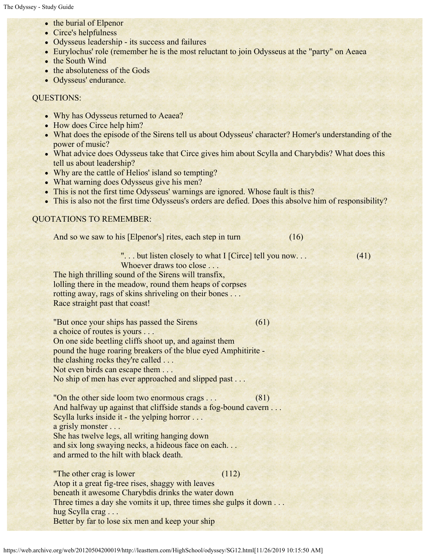- the burial of Elpenor
- Circe's helpfulness
- Odysseus leadership its success and failures
- Eurylochus' role (remember he is the most reluctant to join Odysseus at the "party" on Aeaea
- the South Wind
- the absoluteness of the Gods
- Odysseus' endurance.

## QUESTIONS:

- Why has Odysseus returned to Aeaea?
- How does Circe help him?
- What does the episode of the Sirens tell us about Odysseus' character? Homer's understanding of the power of music?
- What advice does Odysseus take that Circe gives him about Scylla and Charybdis? What does this tell us about leadership?
- Why are the cattle of Helios' island so tempting?
- What warning does Odysseus give his men?
- This is not the first time Odysseus' warnings are ignored. Whose fault is this?
- This is also not the first time Odysseus's orders are defied. Does this absolve him of responsibility?

## QUOTATIONS TO REMEMBER:

| And so we saw to his [Elpenor's] rites, each step in turn                                                                                                                                                                                                                                                                            | (16) |
|--------------------------------------------------------------------------------------------------------------------------------------------------------------------------------------------------------------------------------------------------------------------------------------------------------------------------------------|------|
| " but listen closely to what I [Circe] tell you now<br>Whoever draws too close<br>The high thrilling sound of the Sirens will transfix,<br>lolling there in the meadow, round them heaps of corpses<br>rotting away, rags of skins shriveling on their bones<br>Race straight past that coast!                                       | (41) |
| "But once your ships has passed the Sirens"<br>a choice of routes is yours<br>On one side beetling cliffs shoot up, and against them<br>pound the huge roaring breakers of the blue eyed Amphitirite -<br>the clashing rocks they're called<br>Not even birds can escape them<br>No ship of men has ever approached and slipped past | (61) |
| "On the other side loom two enormous crags<br>And halfway up against that cliffside stands a fog-bound cavern<br>Scylla lurks inside it - the yelping horror<br>a grisly monster<br>She has twelve legs, all writing hanging down<br>and six long swaying necks, a hideous face on each<br>and armed to the hilt with black death.   | (81) |
| "The other crag is lower"<br>(112)<br>Atop it a great fig-tree rises, shaggy with leaves<br>beneath it awesome Charybdis drinks the water down<br>Three times a day she vomits it up, three times she gulps it down<br>hug Scylla crag                                                                                               |      |

Better by far to lose six men and keep your ship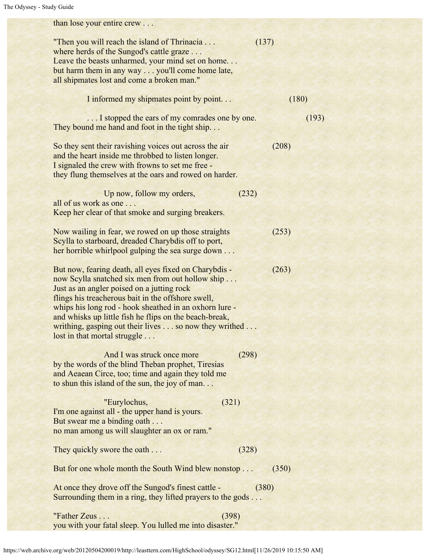than lose your entire crew . . . "Then you will reach the island of Thrinacia . . . (137) where herds of the Sungod's cattle graze ... Leave the beasts unharmed, your mind set on home... but harm them in any way . . . you'll come home late, all shipmates lost and come a broken man." I informed my shipmates point by point. . . (180) ... I stopped the ears of my comrades one by one. (193) They bound me hand and foot in the tight ship... So they sent their ravishing voices out across the air (208) and the heart inside me throbbed to listen longer. I signaled the crew with frowns to set me free they flung themselves at the oars and rowed on harder. Up now, follow my orders, (232) all of us work as one . . . Keep her clear of that smoke and surging breakers. Now wailing in fear, we rowed on up those straights (253) Scylla to starboard, dreaded Charybdis off to port, her horrible whirlpool gulping the sea surge down . . . But now, fearing death, all eyes fixed on Charybdis - (263) now Scylla snatched six men from out hollow ship . . . Just as an angler poised on a jutting rock flings his treacherous bait in the offshore swell, whips his long rod - hook sheathed in an oxhorn lure and whisks up little fish he flips on the beach-break, writhing, gasping out their lives . . . so now they writhed . . . lost in that mortal struggle . . . And I was struck once more (298) by the words of the blind Theban prophet, Tiresias and Aeaean Circe, too; time and again they told me to shun this island of the sun, the joy of man. . . "Eurylochus, (321) I'm one against all - the upper hand is yours. But swear me a binding oath . . . no man among us will slaughter an ox or ram." They quickly swore the oath . . . (328) But for one whole month the South Wind blew nonstop . . . (350) At once they drove off the Sungod's finest cattle - (380) Surrounding them in a ring, they lifted prayers to the gods . . .  $"Father Zeus \dots$  (398) you with your fatal sleep. You lulled me into disaster."